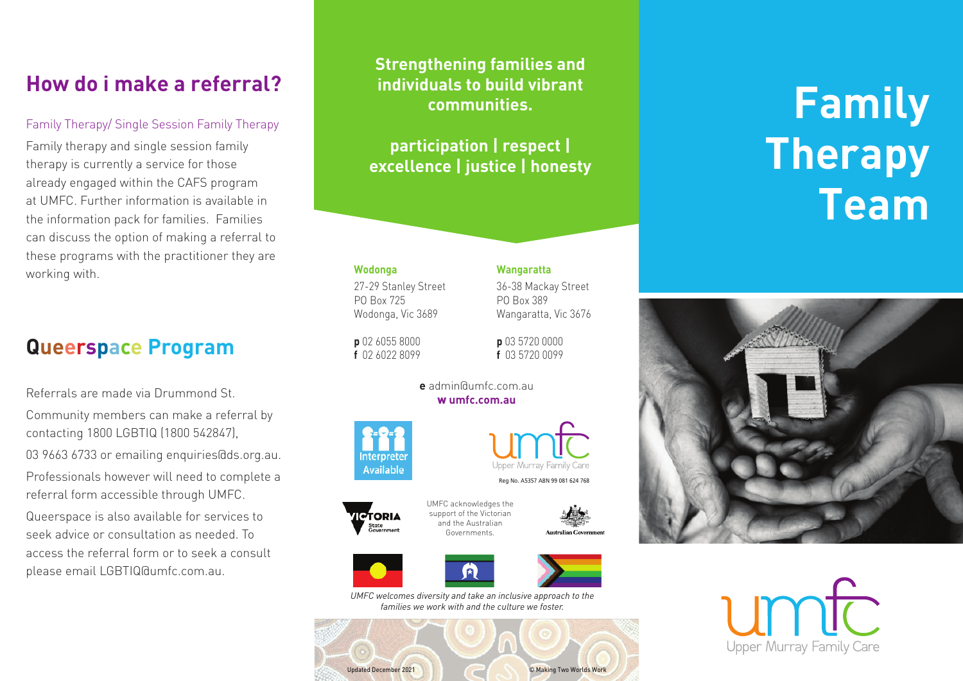# **How do i make a referral?**

### Family Therapy/ Single Session Family Therapy

Family therapy and single session family therapy is currently a service for those already engaged within the CAFS program at UMFC. Further information is available in the information pack for families. Families can discuss the option of making a referral to these programs with the practitioner they are working with.

### **Queerspace Program**

Referrals are made via Drummond St.

Community members can make a referral by contacting 1800 LGBTIQ (1800 542847), 03 9663 6733 or emailing enquiries@ds.org.au. Professionals however will need to complete a referral form accessible through UMFC.

Queerspace is also available for services to seek advice or consultation as needed. To access the referral form or to seek a consult please email LGBTIQ@umfc.com.au.

**Strengthening families and individuals to build vibrant communities.**

**participation | respect | excellence | justice | honesty**

27-29 Stanley Street 36-38 Mackay Street PO Box 725 PO Box 389

### **Wodonga Wangaratta**

Wodonga, Vic 3689 Wangaratta, Vic 3676

**p** 02 6055 8000 **p** 03 5720 0000 **f** 02 6022 8099 **f** 03 5720 0099

> **e** admin@umfc.com.au w **umfc.com.au**





Reg No. A5357 ABN 99 081 624 768









*UMFC welcomes diversity and take an inclusive approach to the families we work with and the culture we foster.*



# **Family Therapy Team**